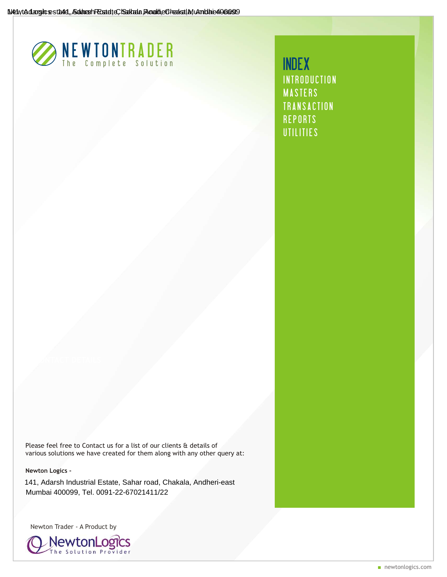

[INTRODUCTION](#page-1-0) [MASTERS](#page-2-0) [TRANSACTION](#page-4-0) **[REPORTS](#page-7-0) [UTILITIES](#page-9-0)** INDEX

Please feel free to Contact us for a list of our clients & details of various solutions we have created for them along with any other query at:

**Newton Logics -** 

141, Adarsh Industrial Estate, Sahar road, Chakala, Andheri-east Mumbai 400099, Tel. 0091-22-67021411/22

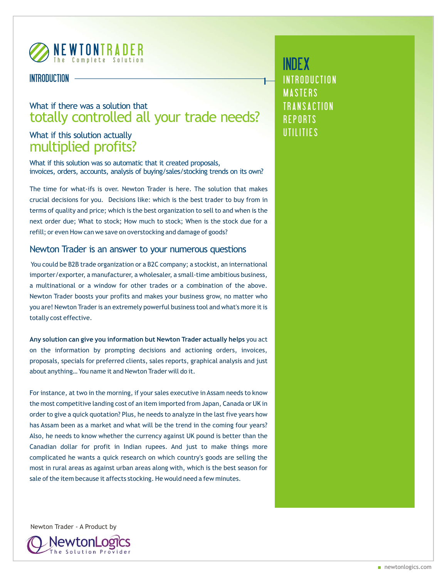<span id="page-1-0"></span>

## INTRODUCTION

# What if there was a solution that totally controlled all your trade needs?

# What if this solution actually multiplied profits?

What if this solution was so automatic that it created proposals, invoices, orders, accounts, analysis of buying/sales/stocking trends on its own?

The time for what-ifs is over. Newton Trader is here. The solution that makes crucial decisions for you. Decisions like: which is the best trader to buy from in terms of quality and price; which is the best organization to sell to and when is the next order due; What to stock; How much to stock; When is the stock due for a refill; or even How can we save on overstocking and damage of goods?

### Newton Trader is an answer to your numerous questions

You could be B2B trade organization or a B2C company; a stockist, an international importer/exporter, a manufacturer, a wholesaler, a small-time ambitious business, a multinational or a window for other trades or a combination of the above. Newton Trader boosts your profits and makes your business grow, no matter who you are! Newton Trader is an extremely powerful business tool and what's more it is totally cost effective.

**Any solution can give you information but Newton Trader actually helps** you act on the information by prompting decisions and actioning orders, invoices, proposals, specials for preferred clients, sales reports, graphical analysis and just about anything… You name it and Newton Trader will do it.

For instance, at two in the morning, if your sales executive in Assam needs to know the most competitive landing cost of an item imported from Japan, Canada or UK in order to give a quick quotation? Plus, he needs to analyze in the last five years how has Assam been as a market and what will be the trend in the coming four years? Also, he needs to know whether the currency against UK pound is better than the Canadian dollar for profit in Indian rupees. And just to make things more complicated he wants a quick research on which country's goods are selling the most in rural areas as against urban areas along with, which is the best season for sale of the item because it affects stocking. He would need a few minutes.

[INTRODUCTION](#page-1-0) **[MASTERS](#page-2-0) [TRANSACTION](#page-4-0) [REPORTS](#page-7-0) [UTILITIES](#page-9-0)** INDEX

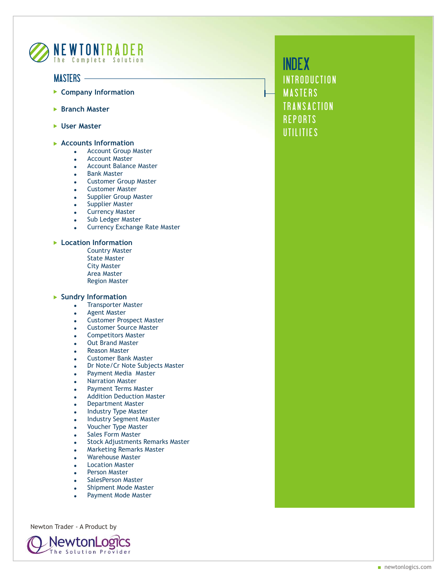<span id="page-2-0"></span>

### MASTERS -

- **Company Information**
- **Branch Master**
- **User Master**
- **Accounts Information**
	- **.** Account Group Master
	- . Account Master
	- **.** Account Balance Master
	- **.** Bank Master
	- **.** Customer Group Master
	- **Customer Master**
	- Supplier Group Master
	- Supplier Master
	- Currency Master
	- . Sub Ledger Master
	- Currency Exchange Rate Master

#### **Location Information**

Country Master State Master City Master Area Master Region Master

#### **Sundry Information**

- Transporter Master
- Agent Master
- **.** Customer Prospect Master
- Customer Source Master
- ! Competitors Master
- Out Brand Master
- Reason Master
- ! Customer Bank Master
- ! Dr Note/Cr Note Subjects Master
- Payment Media Master
- **Narration Master**
- **.** Payment Terms Master
- ! Addition Deduction Master
- ! Department Master
- Industry Type Master
- Industry Segment Master
- ! Voucher Type Master
- Sales Form Master
- . Stock Adjustments Remarks Master
- **.** Marketing Remarks Master
- Warehouse Master
- **Location Master**
- Person Master
- SalesPerson Master
- Shipment Mode Master
- Payment Mode Master

Newton Trader - A Product by

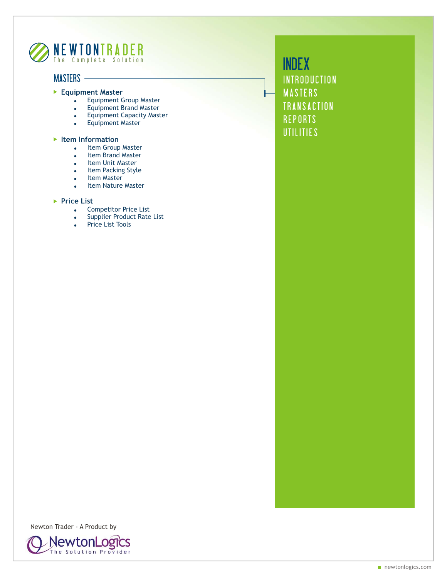

## MASTERS -

#### **Equipment Master**

- . Equipment Group Master
- . Equipment Brand Master
- **.** Equipment Capacity Master
- **.** Equipment Master

#### **Item Information**

- . Item Group Master
- . Item Brand Master
- Item Unit Master
- . Item Packing Style
- Item Master
- . Item Nature Master

#### ▶ Price List

- . Competitor Price List
- Supplier Product Rate List
- Price List Tools

**[INTRODUCTION](#page-1-0) [MASTERS](#page-2-0)** [TRANSACTION](#page-4-0) **[REPORTS](#page-7-0) [UTILITIES](#page-9-0)** INDEX

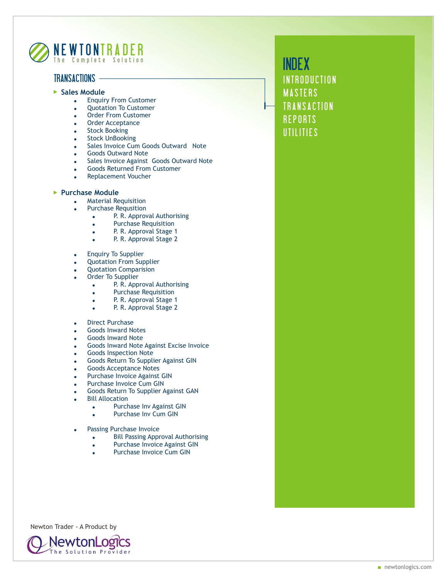<span id="page-4-0"></span>

## TRANSACTIONS -

- **Sales Module**
	- **.** Enquiry From Customer
	- **.** Quotation To Customer
	- **.** Order From Customer
	- Order Acceptance
	- **Stock Booking**
	- Stock UnBooking
	- Sales Invoice Cum Goods Outward Note
	- Goods Outward Note
	- Sales Invoice Against Goods Outward Note
	- Goods Returned From Customer
	- Replacement Voucher

#### **Purchase Module**

- **.** Material Requisition
- Purchase Requsition
	- . P. R. Approval Authorising
	- **.** Purchase Requisition
	- . P. R. Approval Stage 1
	- . P. R. Approval Stage 2
- **.** Enquiry To Supplier
- Quotation From Supplier
- Quotation Comparision
- Order To Supplier
	- . P. R. Approval Authorising
	- **.** Purchase Requisition
	- . P. R. Approval Stage 1
	- **.** P. R. Approval Stage 2
- **Direct Purchase**
- Goods Inward Notes
- Goods Inward Note
- Goods Inward Note Against Excise Invoice
- Goods Inspection Note
- ! Goods Return To Supplier Against GIN
- Goods Acceptance Notes
- Purchase Invoice Against GIN
- Purchase Invoice Cum GIN
- ! Goods Return To Supplier Against GAN
- **Bill Allocation** 
	- . Purchase Inv Against GIN
		- . Purchase Inv Cum GIN
- Passing Purchase Invoice
	- **Bill Passing Approval Authorising**
	- . Purchase Invoice Against GIN
	- Purchase Invoice Cum GIN

Newton Trader - A Product by

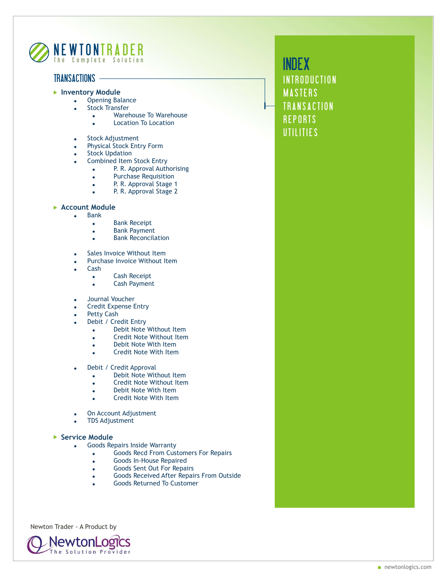

## TRANSACTIONS -

- **Inventory Module**
	- . Opening Balance
	- Stock Transfer
		- **.** Warehouse To Warehouse
		- . Location To Location
	- Stock Adjustment
	- Physical Stock Entry Form
	- **Stock Updation**
	- Combined Item Stock Entry
		- . P. R. Approval Authorising
		- **.** Purchase Requisition
		- . P. R. Approval Stage 1
		- . P. R. Approval Stage 2

#### **Account Module**

- Bank
	- **.** Bank Receipt
	- **.** Bank Payment
	- **.** Bank Reconcilation
- Sales Invoice Without Item
- Purchase Invoice Without Item
- ! Cash
	- **.** Cash Receipt
	- **.** Cash Payment
- Journal Voucher
- ! Credit Expense Entry
- Petty Cash
- Debit / Credit Entry
	- . Debit Note Without Item
	- **.** Credit Note Without Item
	- . Debit Note With Item
	- . Credit Note With Item
- Debit / Credit Approval
	- . Debit Note Without Item
	- Credit Note Without Item
	- . Debit Note With Item
	- ! Credit Note With Item
- . On Account Adjustment
- **TDS Adjustment**

#### ▶ Service Module

- Goods Repairs Inside Warranty
	- Goods Recd From Customers For Repairs
	- **.** Goods In-House Repaired
	- ! Goods Sent Out For Repairs
	- Goods Received After Repairs From Outside
	- ! Goods Returned To Customer

Newton Trader - A Product by

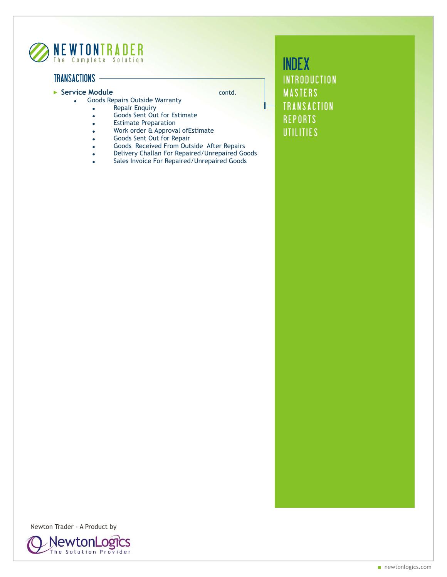

## TRANSACTIONS -

- **Service Module Contact Service Module** 
	- **.** Goods Repairs Outside Warranty
		- Repair Enquiry
		- . Goods Sent Out for Estimate
		- **.** Estimate Preparation
		- . Work order & Approval of Estimate
		- Goods Sent Out for Repair
		- . Goods Received From Outside After Repairs
		- . Delivery Challan For Repaired/Unrepaired Goods
		- . Sales Invoice For Repaired/Unrepaired Goods

**[INTRODUCTION](#page-1-0)** [MASTERS](#page-2-0) [TRANSACTION](#page-4-0) **[REPORTS](#page-7-0) [UTILITIES](#page-9-0)** INDEX

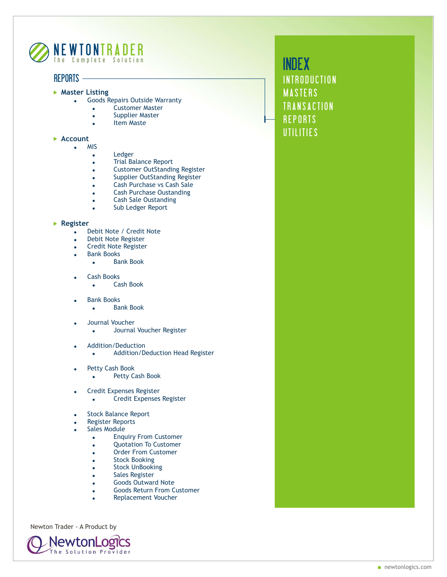<span id="page-7-0"></span>

### REPORTS

- **Master Listing** 
	- **.** Goods Repairs Outside Warranty
		- . Customer Master
		- **.** Supplier Master
		- Item Maste

#### **Account**

- . MIS
	- Ledger
	- Trial Balance Report
	- . Customer OutStanding Register
	- Supplier OutStanding Register
	- . Cash Purchase vs Cash Sale
	- **.** Cash Purchase Oustanding
	- **.** Cash Sale Oustanding
	- . Sub Ledger Report

#### **Register**

- . Debit Note / Credit Note
- . Debit Note Register
- **.** Credit Note Register
- . Bank Books
	- . **Bank Book**
- ! Cash Books
	- ! Cash Book
- **Bank Books** 
	- Bank Book
- Journal Voucher
	- . Journal Voucher Register
- ! Addition/Deduction
	- . Addition/Deduction Head Register
- Petty Cash Book
	- . Petty Cash Book
- ! Credit Expenses Register
	- Credit Expenses Register
- Stock Balance Report
- Register Reports
- Sales Module
	- **.** Enquiry From Customer
	- **.** Quotation To Customer
	- ! Order From Customer
	- **Stock Booking**
	- **Stock UnBooking**
	- **.** Sales Register
	- **.** Goods Outward Note
	- **.** Goods Return From Customer
	- Replacement Voucher

Newton Trader - A Product by

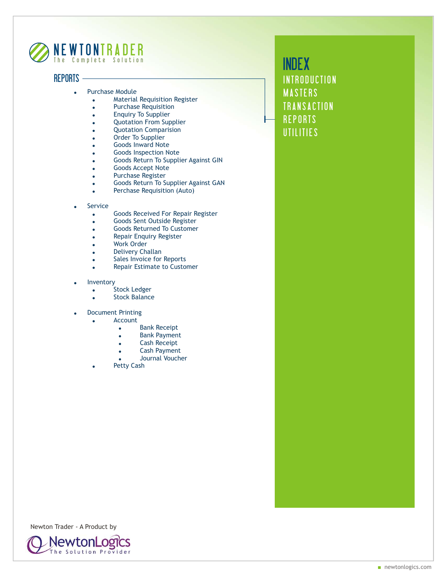

### REPORTS -

- Purchase Module
	- . Material Requisition Register
	- **.** Purchase Requisition
	- **.** Enquiry To Supplier
	- **.** Quotation From Supplier
	- Quotation Comparision
	- Order To Supplier
	- Goods Inward Note
	- Goods Inspection Note
	- ! Goods Return To Supplier Against GIN
	- Goods Accept Note
	- **.** Purchase Register
	- . Goods Return To Supplier Against GAN
	- **.** Perchase Requisition (Auto)
- **Service** 
	- **.** Goods Received For Repair Register
	- . Goods Sent Outside Register
	- **.** Goods Returned To Customer
	- **Repair Enquiry Register**
	- Work Order
	- Delivery Challan
	- . Sales Invoice for Reports
	- **.** Repair Estimate to Customer
- **Inventory** 
	- Stock Ledger
	- Stock Balance
	- **Document Printing**
	- **Account** 
		- **.** Bank Receipt
		- **Bank Payment**
		- Cash Receipt
		- Cash Payment
		- **.** Journal Voucher
		- Petty Cash

**[INTRODUCTION](#page-1-0)** [MASTERS](#page-2-0) **[TRANSACTION](#page-4-0) [REPORTS](#page-7-0) [UTILITIES](#page-9-0)** INDEX